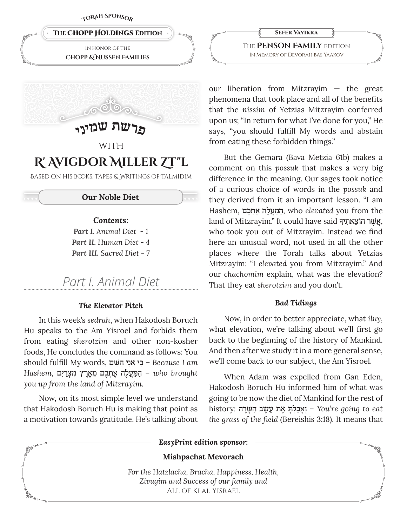TORAH SPONSO<sub>D</sub>





# WITH R' AVIGDOR MILLER ZT"L

BASED ON HIS BOOKS, TAPES & WRITINGS OF TALMIDIM

### **Our Noble Diet**

### Contents:

**Part I.** Animal Diet -1 Part II. Human Diet - 4 **Part III.** Sacred Diet - 7

# Part L Animal Diet

### The Elevator Pitch

In this week's sedrah, when Hakodosh Boruch Hu speaks to the Am Yisroel and forbids them from eating sherotzim and other non-kosher foods. He concludes the command as follows: You should fulfill My words, פִי אֲנִי הַשָּׁם – Because I am Hashem, המעלה אתכם מארץ מצרים - who brought you up from the land of Mitzrayim.

Now, on its most simple level we understand that Hakodosh Boruch Hu is making that point as a motivation towards gratitude. He's talking about

**SEFER VAYIKRA** THE **PENSON FAMILY** EDITION IN MEMORY OF DEVORAH BAS YAAKOV

our liberation from Mitzrayim  $-$  the great phenomena that took place and all of the benefits that the nissim of Yetzias Mitzrayim conferred upon us; "In return for what I've done for you," He says, "you should fulfill My words and abstain from eating these forbidden things."

But the Gemara (Bava Metzia 61b) makes a comment on this possuk that makes a very big difference in the meaning. Our sages took notice of a curious choice of words in the possuk and they derived from it an important lesson. "I am Hashem, הַמַּעֲלָה אֲתִכֶם, who elevated you from the land of Mitzrayim." It could have said אָשׁר הוֹצאתיךּ, who took you out of Mitzrayim. Instead we find here an unusual word, not used in all the other places where the Torah talks about Yetzias Mitzrayim: "I elevated you from Mitzrayim." And our chachomim explain, what was the elevation? That they eat sherotzim and you don't.

#### **Bad Tidings**

Now, in order to better appreciate, what iluy, what elevation, we're talking about we'll first go back to the beginning of the history of Mankind. And then after we study it in a more general sense, we'll come back to our subject, the Am Yisroel.

When Adam was expelled from Gan Eden, Hakodosh Boruch Hu informed him of what was going to be now the diet of Mankind for the rest of history: אַבְלְתְּאָת עֲשֶׂב הַשָּׂדָה - You're going to eat the grass of the field (Bereishis 3:18). It means that

EasyPrint edition sponsor:

### **Mishpachat Mevorach**

For the Hatzlacha, Bracha, Happiness, Health, Zivugim and Success of our family and ALL OF KLAL YISRAEL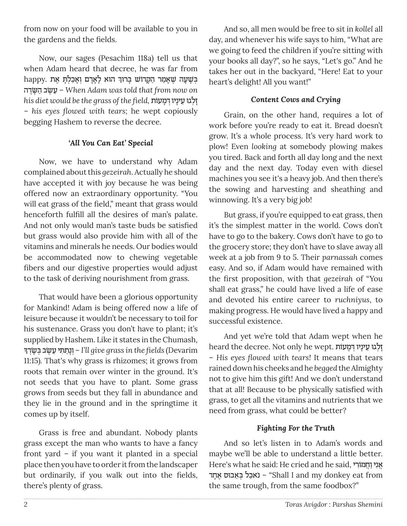from now on your food will be available to you in the gardens and the fields.

Now, our sages (Pesachim 118a) tell us that when Adam heard that decree, he was far from happy. בִּשְׁעָה שֵׁאֲמַר הַקָּרוֹשׁ בָרוּךְ הוּא לַאַדָם וְאַכַלְתָּ אֶת שעב הַשַׂרָה – When Adam was told that from now on his diet would be the grass of the field, וַלְגוּ עֵינַיו דְּמַעוֹת - his eyes flowed with tears; he wept copiously begging Hashem to reverse the decree.

## 'All You Can Eat' Special

Now, we have to understand why Adam complained about this *gezeirah*. Actually he should have accepted it with joy because he was being offered now an extraordinary opportunity. "You will eat grass of the field," meant that grass would henceforth fulfill all the desires of man's palate. And not only would man's taste buds be satisfied but grass would also provide him with all of the vitamins and minerals he needs. Our bodies would be accommodated now to chewing vegetable fibers and our digestive properties would adjust to the task of deriving nourishment from grass.

That would have been a glorious opportunity for Mankind! Adam is being offered now a life of leisure because it wouldn't be necessary to toil for his sustenance. Grass you don't have to plant; it's supplied by Hashem. Like it states in the Chumash, ן יוֹנַתַתִּי עֵשֶׂב בִּשַׂדְךָ – I'll give grass in the fields (Devarim 11:15). That's why grass is rhizomes; it grows from roots that remain over winter in the ground. It's not seeds that you have to plant. Some grass grows from seeds but they fall in abundance and they lie in the ground and in the springtime it comes up by itself.

Grass is free and abundant. Nobody plants grass except the man who wants to have a fancy front yard - if you want it planted in a special place then you have to order it from the landscaper but ordinarily, if you walk out into the fields, there's plenty of grass.

And so, all men would be free to sit in kollel all day, and whenever his wife says to him, "What are we going to feed the children if you're sitting with your books all day?", so he says, "Let's go." And he takes her out in the backyard, "Here! Eat to your heart's delight! All you want!"

# **Content Cows and Crying**

Grain, on the other hand, requires a lot of work before you're ready to eat it. Bread doesn't grow. It's a whole process. It's very hard work to plow! Even looking at somebody plowing makes you tired. Back and forth all day long and the next day and the next day. Today even with diesel machines you see it's a heavy job. And then there's the sowing and harvesting and sheathing and winnowing. It's a very big job!

But grass, if you're equipped to eat grass, then it's the simplest matter in the world. Cows don't have to go to the bakery. Cows don't have to go to the grocery store; they don't have to slave away all week at a job from 9 to 5. Their parnassah comes easy. And so, if Adam would have remained with the first proposition, with that gezeirah of "You shall eat grass," he could have lived a life of ease and devoted his entire career to ruchnivus, to making progress. He would have lived a happy and successful existence.

And yet we're told that Adam wept when he heard the decree. Not only he wept. זְלְגוּ עֵינָיו דְּמָעוֹת - His eyes flowed with tears! It means that tears rained down his cheeks and he begged the Almighty not to give him this gift! And we don't understand that at all! Because to be physically satisfied with grass, to get all the vitamins and nutrients that we need from grass, what could be better?

# **Fighting For the Truth**

And so let's listen in to Adam's words and maybe we'll be able to understand a little better. Here's what he said: He cried and he said, אני וחמורי באבל באָבוס אַחָד - "Shall I and my donkey eat from the same trough, from the same foodbox?"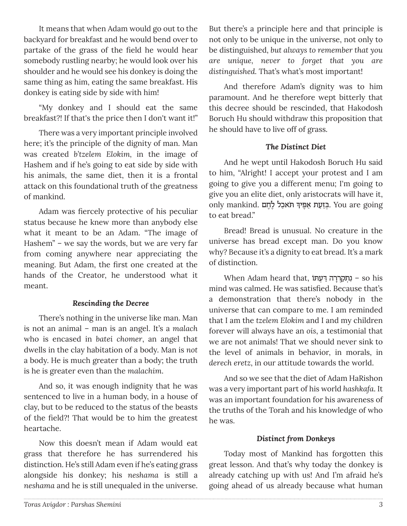It means that when Adam would go out to the backyard for breakfast and he would bend over to partake of the grass of the field he would hear somebody rustling nearby; he would look over his shoulder and he would see his donkey is doing the same thing as him, eating the same breakfast. His donkey is eating side by side with him!

"My donkey and I should eat the same breakfast?! If that's the price then I don't want it!"

There was a very important principle involved here; it's the principle of the dignity of man. Man was created *b'tzelem Elokim,* in the image of Hashem and if he's going to eat side by side with his animals, the same diet, then it is a frontal attack on this foundational truth of the greatness of mankind.

Adam was fiercely protective of his peculiar status because he knew more than anybody else what it meant to be an Adam. "The image of Hashem" – we say the words, but we are very far from coming anywhere near appreciating the meaning. But Adam, the first one created at the hands of the Creator, he understood what it meant.

### *Rescinding the Decree*

There's nothing in the universe like man. Man is not an animal – man is an angel. It's a *malach* who is encased in *batei chomer*, an angel that dwells in the clay habitation of a body. Man is *not* a body. He is much greater than a body; the truth is he is greater even than the *malachim*.

And so, it was enough indignity that he was sentenced to live in a human body, in a house of clay, but to be reduced to the status of the beasts of the field?! That would be to him the greatest heartache.

Now this doesn't mean if Adam would eat grass that therefore he has surrendered his distinction. He's still Adam even if he's eating grass alongside his donkey; his *neshama* is still a *neshama* and he is still unequaled in the universe.

But there's a principle here and that principle is not only to be unique in the universe, not only to be distinguished, *but always to remember that you are unique, never to forget that you are distinguished.* That's what's most important!

And therefore Adam's dignity was to him paramount. And he therefore wept bitterly that this decree should be rescinded, that Hakodosh Boruch Hu should withdraw this proposition that he should have to live off of grass.

### *The Distinct Diet*

And he wept until Hakodosh Boruch Hu said to him, "Alright! I accept your protest and I am going to give you a different menu; I'm going to give you an elite diet, only aristocrats will have it, ָonly mankind. בְּזֵעַת אַפֶּיךָ תֹּאכַל לֶחֶם . You are going to eat bread."

Bread! Bread is unusual. No creature in the universe has bread except man. Do you know why? Because it's a dignity to eat bread. It's a mark of distinction.

When Adam heard that, נתקררה דעתו - so his mind was calmed. He was satisfied. Because that's a demonstration that there's nobody in the universe that can compare to me. I am reminded that I am the *tzelem Elokim* and I and my children forever will always have an *ois*, a testimonial that we are not animals! That we should never sink to the level of animals in behavior, in morals, in *derech eretz*, in our attitude towards the world.

And so we see that the diet of Adam HaRishon was a very important part of his world *hashkafa*. It was an important foundation for his awareness of the truths of the Torah and his knowledge of who he was.

### *Distinct from Donkeys*

Today most of Mankind has forgotten this great lesson. And that's why today the donkey is already catching up with us! And I'm afraid he's going ahead of us already because what human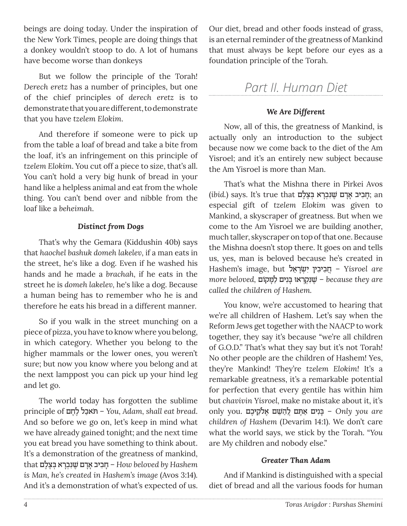beings are doing today. Under the inspiration of the New York Times, people are doing things that a donkey wouldn't stoop to do. A lot of humans have become worse than donkeys

But we follow the principle of the Torah! *Derech eretz* has a number of principles, but one of the chief principles of *derech eretz* is to demonstrate that you are different, to demonstrate that you have *tzelem Elokim*.

And therefore if someone were to pick up from the table a loaf of bread and take a bite from the loaf, it's an infringement on this principle of *tzelem Elokim*. You cut off a piece to size, that's all. You can't hold a very big hunk of bread in your hand like a helpless animal and eat from the whole thing. You can't bend over and nibble from the loaf like a *beheimah*.

### *Distinct from Dogs*

That's why the Gemara (Kiddushin 40b) says that *haochel bashuk domeh lakelev,* if a man eats in the street, he's like a dog. Even if he washed his hands and he made a *brachah,* if he eats in the street he is *domeh lakelev,* he's like a dog. Because a human being has to remember who he is and therefore he eats his bread in a different manner.

So if you walk in the street munching on a piece of pizza, you have to know where you belong, in which category. Whether you belong to the higher mammals or the lower ones, you weren't sure; but now you know where you belong and at the next lamppost you can pick up your hind leg and let go.

The world today has forgotten the sublime principle of חם∆ל ∆כלַ˙‡ֹ ּ – *You, Adam, shall eat bread*. And so before we go on, let's keep in mind what we have already gained tonight; and the next time you eat bread you have something to think about. It's a demonstration of the greatness of mankind, that רַחֲבִיב אַרֲם שִׁנִּבְרָא בִצֶלֶם – *How beloved by Hashem is Man, he's created in Hashem's image* (Avos 3:14)*.*  And it's a demonstration of what's expected of us. Our diet, bread and other foods instead of grass, is an eternal reminder of the greatness of Mankind that must always be kept before our eyes as a foundation principle of the Torah.

# *Part II. Human Diet*

### *We Are Different*

Now, all of this, the greatness of Mankind, is actually only an introduction to the subject because now we come back to the diet of the Am Yisroel; and it's an entirely new subject because the Am Yisroel is more than Man.

That's what the Mishna there in Pirkei Avos (*ibid.*) says. It's true that רְחֲבִיב אֲדָם שֵׁנִּבְרָא בְּצֵלֶם; an especial gift of *tzelem Elokim* was given to Mankind, a skyscraper of greatness. But when we come to the Am Yisroel we are building another, much taller, skyscraper on top of that one. Because the Mishna doesn't stop there. It goes on and tells us, yes, man is beloved because he's created in Hashem's image, but לײַביבין ישׂראל – Yisroel are *more beloved*, יֹשֵׁנִּקְרָאוּ בַּנִיִּם לַמֲקוֹם because they are *called the children of Hashem.*

You know, we're accustomed to hearing that we're all children of Hashem. Let's say when the Reform Jews get together with the NAACP to work together, they say it's because "we're all children of G.O.D." That's what they say but it's not Torah! No other people are the children of Hashem! Yes, they're Mankind! They're *tzelem Elokim!* It's a remarkable greatness, it's a remarkable potential for perfection that every gentile has within him but *chavivin Yisroel,* make no mistake about it, it's only you *are* = בַּנִים אַתָּם לַהֲשֶׁם אֲלֹקֵיכֶם .only you are *children of Hashem* (Devarim 14:1). We don't care what the world says, we stick by the Torah. "*You*  are My children and nobody else."

### *Greater Than Adam*

And if Mankind is distinguished with a special diet of bread and all the various foods for human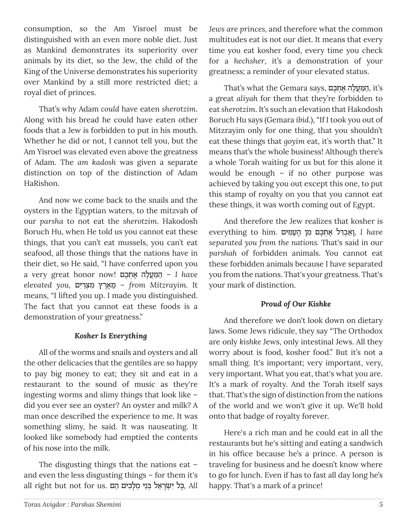consumption, so the Am Yisroel must be distinguished with an even more noble diet. Just as Mankind demonstrates its superiority over animals by its diet, so the Jew, the child of the King of the Universe demonstrates his superiority over Mankind by a still more restricted diet; a royal diet of princes.

That's why Adam *could* have eaten *sherotzim*. Along with his bread he could have eaten other foods that a Jew is forbidden to put in his mouth. Whether he did or not, I cannot tell you, but the Am Yisroel was elevated even above the greatness of Adam. The *am kadosh* was given a separate distinction on top of the distinction of Adam HaRishon.

And now we come back to the snails and the oysters in the Egyptian waters, to the mitzvah of our *parsha* to not eat the *sherotzim*. Hakodosh Boruch Hu, when He told us you cannot eat these things, that you can't eat mussels, you can't eat seafood, all those things that the nations have in their diet, so He said, "I have conferred upon you a very great honor now! כם ∆ ‡ ¿˙∆לה∆עֲמַּ הַ – *I have elevated you,* יםƒרַ ¿ˆמƒ ıר∆‡∆מ – ≈*from Mitzrayim.* It means, "I lifted you up. I made you distinguished. The fact that you cannot eat these foods is a demonstration of your greatness."

### *Kosher Is Everything*

All of the worms and snails and oysters and all the other delicacies that the gentiles are so happy to pay big money to eat; they sit and eat in a restaurant to the sound of music as they're ingesting worms and slimy things that look like – did you ever see an oyster? An oyster and milk? A man once described the experience to me. It was something slimy, he said. It was nauseating. It looked like somebody had emptied the contents of his nose into the milk.

The disgusting things that the nations eat – and even the less disgusting things – for them it's all right but not for us. הַבּל יִשְׂרַאֵל בְּנֵי מִלַכְים הֵם, All

*Jews are princes,* and therefore what the common multitudes eat is not our diet. It means that every time you eat kosher food, every time you check for a *hechsher*, it's a demonstration of your greatness; a reminder of your elevated status.

That's what the Gemara says, הַמַּעֲלָה אֲתִכֶם, it's a great *aliyah* for them that they're forbidden to eat *sherotzim*. It's such an elevation that Hakodosh Boruch Hu says (Gemara *ibid.*), "If I took you out of Mitzrayim only for one thing, that you shouldn't eat these things that *goyim* eat, it's worth that." It means that's the whole business! Although there's a whole Torah waiting for us but for this alone it would be enough – if no other purpose was achieved by taking you out except this one, to put this stamp of royalty on you that you cannot eat these things, it was worth coming out of Egypt.

And therefore the Jew realizes that kosher is  *have E*verything to him. נְאֲבְדִּל אֲתִכֶם מִן הַעֲמִים *separated you from the nations.* That's said in our *parshah* of forbidden animals. You cannot eat these forbidden animals because I have separated you from the nations. That's your greatness. That's your mark of distinction.

# *Proud of Our Kishke*

And therefore we don't look down on dietary laws. Some Jews ridicule, they say "The Orthodox are only *kishke* Jews, only intestinal Jews. All they worry about is food, kosher food." But it's not a small thing. It's important; very important, very, very important. What you eat, that's what you are. It's a mark of royalty. And the Torah itself says that. That's the sign of distinction from the nations of the world and we won't give it up. We'll hold onto that badge of royalty forever.

Here's a rich man and he could eat in all the restaurants but he's sitting and eating a sandwich in his office because he's a prince. A person is traveling for business and he doesn't know where to go for lunch. Even if has to fast all day long he's happy. That's a mark of a prince!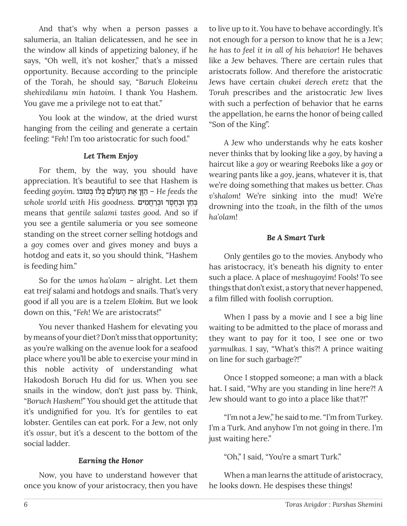And that's why when a person passes a salumeria, an Italian delicatessen, and he see in the window all kinds of appetizing baloney, if he says, "Oh well, it's not kosher," that's a missed opportunity. Because according to the principle of the Torah, he should say, "*Baruch Elokeinu shehivdilanu min hatoim.* I thank You Hashem. You gave me a privilege not to eat that."

You look at the window, at the dried wurst hanging from the ceiling and generate a certain feeling: "*Feh*! I'm too aristocratic for such food."

### *Let Them Enjoy*

For them, by the way, you should have appreciation. It's beautiful to see that Hashem is feeding qoyim. דְהֵין אֵת הַעוֹלַם כְּלוֹ בְּטוֹבוּ *He feeds the* ¿ּב≈חן ּו ¿ב∆ח∆ס" ּו ¿בַרֲח ƒמים *.goodness His with world whole* means that *gentile salami tastes good*. And so if you see a gentile salumeria or you see someone standing on the street corner selling hotdogs and a *goy* comes over and gives money and buys a hotdog and eats it, so you should think, "Hashem is feeding him."

So for the *umos ha'olam* – alright. Let them eat *treif* salami and hotdogs and snails. That's very good if all you are is a *tzelem Elokim.* But we look down on this, "*Feh*! We are aristocrats!"

You never thanked Hashem for elevating you by means of your diet? Don't miss that opportunity; as you're walking on the avenue look for a seafood place where you'll be able to exercise your mind in this noble activity of understanding what Hakodosh Boruch Hu did for us. When you see snails in the window, don't just pass by. Think, *"Boruch Hashem!*" You should get the attitude that it's undignified for you. It's for gentiles to eat lobster. Gentiles can eat pork. For a Jew, not only it's *ossur*, but it's a descent to the bottom of the social ladder.

### *Earning the Honor*

Now, you have to understand however that once you know of your aristocracy, then you have

to live up to it. You have to behave accordingly. It's not enough for a person to know that he is a Jew; *he has to feel it in all of his behavior!* He behaves like a Jew behaves. There are certain rules that aristocrats follow. And therefore the aristocratic Jews have certain *chukei derech eretz* that the *Torah* prescribes and the aristocratic Jew lives with such a perfection of behavior that he earns the appellation, he earns the honor of being called "Son of the King".

A Jew who understands why he eats kosher never thinks that by looking like a *goy*, by having a haircut like a *goy* or wearing Reeboks like a *goy* or wearing pants like a *goy*, jeans, whatever it is, that we're doing something that makes us better. *Chas v'shalom*! We're sinking into the mud! We're drowning into the *tzoah*, in the filth of the *umos ha'olam*!

### *Be A Smart Turk*

Only gentiles go to the movies. Anybody who has aristocracy, it's beneath his dignity to enter such a place. A place of *meshugoyim*! Fools! To see things that don't exist, a story that never happened, a film filled with foolish corruption.

When I pass by a movie and I see a big line waiting to be admitted to the place of morass and they want to pay for it too, I see one or two *yarmulkas*. I say, "What's this?! A prince waiting on line for such garbage?!"

Once I stopped someone; a man with a black hat. I said, "Why are you standing in line here?! A Jew should want to go into a place like that?!"

"I'm not a Jew," he said to me. "I'm from Turkey. I'm a Turk. And anyhow I'm not going in there. I'm just waiting here."

"Oh," I said, "You're a smart Turk."

When a man learns the attitude of aristocracy, he looks down. He despises these things!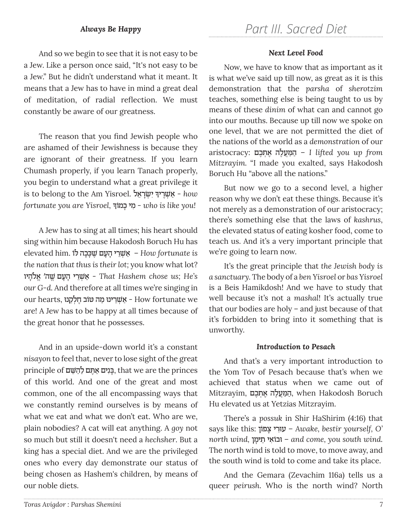### *Always Be Happy*

And so we begin to see that it is not easy to be a Jew. Like a person once said, "It's not easy to be a Jew." But he didn't understand what it meant. It means that a Jew has to have in mind a great deal of meditation, of radial reflection. We must constantly be aware of our greatness.

The reason that you find Jewish people who are ashamed of their Jewishness is because they are ignorant of their greatness. If you learn Chumash properly, if you learn Tanach properly, you begin to understand what a great privilege it is to belong to the Am Yisroel. **אַשְׁרֶיךְ יִשְׂרְאֵל** *fortunate you are Yisroel,* ָ מוךֹ כָ מיƒ - *who is like you!*

A Jew has to sing at all times; his heart should sing within him because Hakodosh Boruch Hu has  $e$ ielevated him. אַשְׁרֵי הַעָּם שֵׁכָּכָה לֹוֹ *the nation that thus is their lot;* you know what lot? י **אַל**ֹהָיו - That Hashem chose us; He's *our G-d.* And therefore at all times we're singing in our hearts, אַשׁרינו מה טוֹב חלקנו - How fortunate we are! A Jew has to be happy at all times because of the great honor that he possesses.

And in an upside-down world it's a constant *nisayon* to feel that, never to lose sight of the great principle of ם≈˘ּׁ הַלַ ם∆˙ּ ‡ ַ ניםƒבָּ, that we are the princes of this world. And one of the great and most common, one of the all encompassing ways that we constantly remind ourselves is by means of what we eat and what we don't eat. Who are we, plain nobodies? A cat will eat anything. A *goy* not so much but still it doesn't need a *hechsher*. But a king has a special diet. And we are the privileged ones who every day demonstrate our status of being chosen as Hashem's children, by means of our noble diets.

#### *Next Level Food*

Now, we have to know that as important as it is what we've said up till now, as great as it is this demonstration that the *parsha* of *sherotzim*  teaches, something else is being taught to us by means of these *dinim* of what can and cannot go into our mouths. Because up till now we spoke on one level, that we are not permitted the diet of the nations of the world as a *demonstration* of our aristocracy: כם ∆ ‡ ¿˙∆לה∆עֲמַּ הַ – *I lifted you up from Mitzrayim.* "I made you exalted, says Hakodosh Boruch Hu "above all the nations."

But now we go to a second level, a higher reason why we don't eat these things. Because it's not merely as a demonstration of our aristocracy; there's something else that the laws of *kashrus*, the elevated status of eating kosher food, come to teach us. And it's a very important principle that we're going to learn now.

It's the great principle that *the Jewish body is a sanctuary.* The body of a *ben Yisroel* or *bas Yisroel* is a Beis Hamikdosh! And we have to study that well because it's not a *mashal*! It's actually true that our bodies are holy – and just because of that it's forbidden to bring into it something that is unworthy.

### *Introduction to Pesach*

And that's a very important introduction to the Yom Tov of Pesach because that's when we achieved that status when we came out of Boruch ,הַמַּעֲלֶה אֶתִכֶם, when Hakodosh Boruch Hu elevated us at Yetzias Mitzrayim.

There's a *possuk* in Shir HaShirim (4:16) that says like this: פוןֹ ˆ ָ ריƒעוּ – *Awake, bestir yourself, O' north wind,* ימןָ ≈˙ י‡ƒ בוֹ וּ – *and come, you south wind.*  The north wind is told to move, to move away, and the south wind is told to come and take its place.

And the Gemara (Zevachim 116a) tells us a queer *peirush*. Who is the north wind? North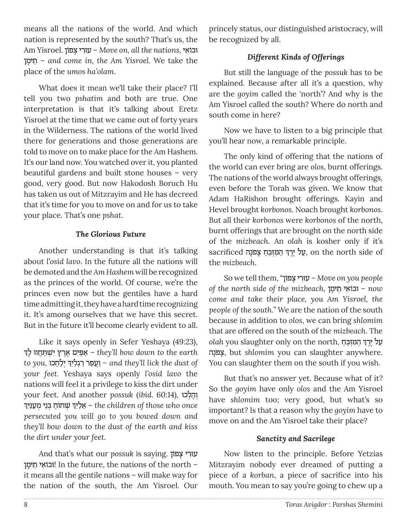means all the nations of the world. And which nation is represented by the south? That's us, the Am Yisroel. נבוֹאִי *– Move on, all the nations*, וּבוֹאִי ימןָ – ≈˙ *and come in, the Am Yisroel.* We take the place of the *umos ha'olam*.

What does it mean we'll take their place? I'll tell you two *pshatim* and both are true. One interpretation is that it's talking about Eretz Yisroel at the time that we came out of forty years in the Wilderness. The nations of the world lived there for generations and those generations are told to move on to make place for the Am Hashem. It's our land now. You watched over it, you planted beautiful gardens and built stone houses – very good, very good. But now Hakodosh Boruch Hu has taken us out of Mitzrayim and He has decreed that it's time for you to move on and for us to take your place. That's one *pshat*.

### *The Glorious Future*

Another understanding is that it's talking about *l'osid lavo*. In the future all the nations will be demoted and the *Am Hashem* will be recognized as the princes of the world. Of course, we're the princes even now but the gentiles have a hard time admitting it, they have a hard time recognizing it. It's among ourselves that we have this secret. But in the future it'll become clearly evident to all.

Like it says openly in Sefer Yeshaya (49:23), ¿ לךָ ווּ חֲ˙ַּ¿˘ ׁ יƒ ıר ∆‡∆יםƒפַּ‡ַ – *they'll bow down to the earth*  ¿ ¿יַל≈ח ּכו *,you to* יךƒלַ¿'רַ פרַעֲוַ *– and they'll lick the dust of your feet.* Yeshaya says openly *l'osid lavo* the nations will feel it a privilege to kiss the dirt under your feet. And another *possuk* (*ibid.*  $60:14$ ), וּהַלְכוּ ¿ ׁ¿˘ ֹחוַח ¿ּב≈ני ¿מַעַּנƒיך יךƒלַ – ≈‡*the children of those who once persecuted you will go to you bowed down and they'll bow down to the dust of the earth and kiss the dirt under your feet.*

And that's what our *possuk* is saying. עזרי צִפוֹן יִ יְבוֹאִי תֵימָן! In the future, the nations of the north – it means all the gentile nations – will make way for the nation of the south, the Am Yisroel. Our

princely status, our distinguished aristocracy, will be recognized by all.

# *Different Kinds of Offerings*

But still the language of the *possuk* has to be explained. Because after all it's a question, why are the *goyim* called the 'north'? And why is the Am Yisroel called the south? Where do north and south come in here?

Now we have to listen to a big principle that you'll hear now, a remarkable principle.

The only kind of offering that the nations of the world can ever bring are *olos*, burnt offerings. The nations of the world always brought offerings, even before the Torah was given. We know that Adam HaRishon brought offerings. Kayin and Hevel brought *korbonos*. Noach brought *korbonos*. But all their *korbonos* were *korbonos* of the north, burnt offerings that are brought on the north side of the *mizbeach*. An *olah* is kosher only if it's ¿ $\,$ sacrificed עַל יֶרֶךְּ הַמִּזְבֵּח צְפַנָה, on the north side of the *mizbeach*.

So we tell them, "פוןֹ ˆ ָ ריƒעוּ – *Move on you people of the north side of the mizbeach,* ימןָ ≈˙ י‡ƒ בוֹ וּ *– now come and take their place, you Am Yisroel, the people of the south.*" We are the nation of the south because in addition to *olos*, we can bring *shlomim* that are offered on the south of the *mizbeach*. The  $\it{olah}$  you slaughter only on the north, על יֶרֶדְּ הַמִּזְבֵהַ נהָפֹˆ ָ , but *shlomim* you can slaughter anywhere. You can slaughter them on the south if you wish.

But that's no answer yet. Because what of it? So the *goyim* have only *olos* and the Am Yisroel have *shlomim* too; very good, but what's so important? Is that a reason why the *goyim* have to move on and the Am Yisroel take their place?

### *Sanctity and Sacrilege*

Now listen to the principle. Before Yetzias Mitzrayim nobody ever dreamed of putting a piece of a *korban*, a piece of sacrifice into his mouth. You mean to say you're going to chew up a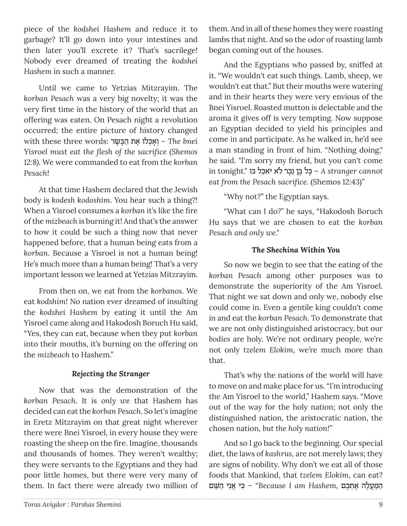piece of the *kodshei Hashem* and reduce it to garbage? It'll go down into your intestines and then later you'll excrete it? That's sacrilege! Nobody ever dreamed of treating the *kodshei Hashem* in such a manner.

Until we came to Yetzias Mitzrayim. The *korban Pesach* was a very big novelty; it was the very first time in the history of the world that an offering was eaten. On Pesach night a revolution occurred; the entire picture of history changed  *bnei* – יִאֲכְלוּ אֶת הַבָּשָׂר i <sup>−</sup> The bnei *Yisroel must eat the flesh of the sacrifice (Shemos 12:8).* We were commanded to eat from the *korban Pesach*!

At that time Hashem declared that the Jewish body is *kodesh kodoshim*. You hear such a thing?! When a Yisroel consumes a *korban* it's like the fire of the *mizbeach* is burning it! And that's the answer to how it could be such a thing now that never happened before, that a human being eats from a *korban*. Because a Yisroel is not a human being! He's much more than a human being! That's a very important lesson we learned at Yetzias Mitzrayim.

From then on, we eat from the *korbanos*. We eat *kodshim!* No nation ever dreamed of insulting the *kodshei Hashem* by eating it until the Am Yisroel came along and Hakodosh Boruch Hu said, "Yes, they can eat, because when they put *korban* into their mouths, it's burning on the offering on the *mizbeach* to Hashem."

## *Rejecting the Stranger*

Now that was the demonstration of the *korban Pesach*. It is *only we* that Hashem has decided can eat the *korban Pesach*. So let's imagine in Eretz Mitzrayim on that great night wherever there were Bnei Yisroel, in every house they were roasting the sheep on the fire. Imagine, thousands and thousands of homes. They weren't wealthy; they were servants to the Egyptians and they had poor little homes, but there were very many of them. In fact there were already two million of them. And in all of these homes they were roasting lambs that night. And so the odor of roasting lamb began coming out of the houses.

And the Egyptians who passed by, sniffed at it. "We wouldn't eat such things. Lamb, sheep, we wouldn't eat that." But their mouths were watering and in their hearts they were very envious of the Bnei Yisroel. Roasted mutton is delectable and the aroma it gives off is very tempting. Now suppose an Egyptian decided to yield his principles and come in and participate. As he walked in, he'd see a man standing in front of him. "Nothing doing," he said. "I'm sorry my friend, but you can't come in tonight." בַּל בֵּן נֵכָר לֹא יֹאכַל בּוֹ a stranger cannot *eat from the Pesach sacrifice.* (Shemos 12:43)*"*

"Why not?" the Egyptian says.

"What can I do?" he says, "Hakodosh Boruch Hu says that we are chosen to eat the *korban Pesach and only we*."

### *The Shechina Within You*

So now we begin to see that the eating of the *korban Pesach* among other purposes was to demonstrate the superiority of the Am Yisroel. That night we sat down and only we, nobody else could come in. Even a gentile king couldn't come in and eat the *korban Pesach*. To demonstrate that we are not only distinguished aristocracy, but our *bodies* are holy. We're not ordinary people, we're not only *tzelem Elokim*, we're much more than that.

That's why the nations of the world will have to move on and make place for us. "I'm introducing the Am Yisroel to the world," Hashem says. "Move out of the way for the holy nation; not only the distinguished nation, the aristocratic nation, the chosen nation, *but the holy nation!"*

And so I go back to the beginning. Our special diet, the laws of *kashrus*, are not merely laws; they are signs of nobility. Why don't we eat all of those foods that Mankind, that *tzelem Elokim*, can eat? ַה ַּמֲע∆לה ∆ ‡ ¿˙∆כם *,Hashem am I Because* – "ƒּכי ֲ ‡ƒני ַה ּׁ≈˘ם